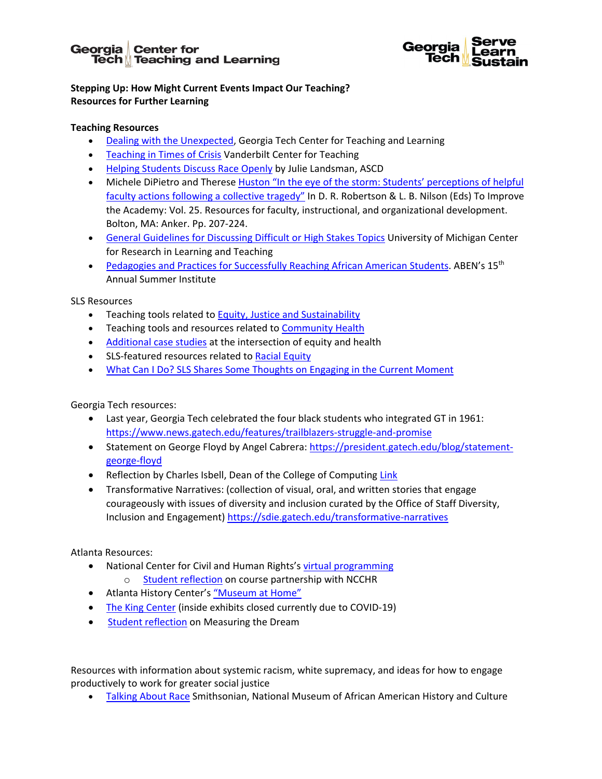# Georgia | Center for **Tech**<sup></sup> Teaching and Learning



## **Stepping Up: How Might Current Events Impact Our Teaching? Resources for Further Learning**

### **Teaching Resources**

- [Dealing with the Unexpected,](https://ctl.gatech.edu/resources/best-practices/dealing-with-the-unexpected) Georgia Tech Center for Teaching and Learning
- [Teaching in Times of Crisis](http://cte.tcu.edu/wp-content/uploads/Teaching-in-Times-of-Crisis.pdf) Vanderbilt Center for Teaching
- [Helping Students Discuss Race Openly](http://www.ascd.org/publications/educational-leadership/nov16/vol74/num03/Helping-Students-Discuss-Race-Openly.aspx) by Julie Landsman, ASCD
- Michele DiPietro and Therese Huston "In the eye of the storm: Students' perceptions of helpful [faculty actions following a collective tragedy"](https://podnetwork.org/content/uploads/In_the_Eye.pdf) In D. R. Robertson & L. B. Nilson (Eds) To Improve the Academy: Vol. 25. Resources for faculty, instructional, and organizational development. Bolton, MA: Anker. Pp. 207-224.
- [General Guidelines for Discussing Difficult or High Stakes Topics](http://crlt.umich.edu/publinks/generalguidelines) University of Michigan Center for Research in Learning and Teaching
- [Pedagogies and Practices for Successfully Reaching African American Students.](https://www.aben-si.org/) ABEN's 15<sup>th</sup> Annual Summer Institute

#### SLS Resources

- Teaching tools related t[o Equity, Justice and Sustainability](https://serve-learn-sustain.gatech.edu/tool-category/equity-justice)
- Teaching tools and resources related to [Community Health](https://serve-learn-sustain.gatech.edu/readings-videos-and-resources-about-community-health)
- [Additional case studies](https://serve-learn-sustain.gatech.edu/tool-category/case-studies) at the intersection of equity and health
- SLS-featured resources related t[o Racial Equity](https://serve-learn-sustain.gatech.edu/ej-series-event-resources)
- [What Can I Do? SLS Shares Some Thoughts on Engaging in the Current Moment](https://serve-learn-sustain.gatech.edu/what-can-i-do-sls-shares-some-thoughts-engaging-current-moment)

Georgia Tech resources:

- Last year, Georgia Tech celebrated the four black students who integrated GT in 1961: <https://www.news.gatech.edu/features/trailblazers-struggle-and-promise>
- Statement on George Floyd by Angel Cabrera: [https://president.gatech.edu/blog/statement](https://president.gatech.edu/blog/statement-george-floyd)[george-floyd](https://president.gatech.edu/blog/statement-george-floyd)
- Reflection by Charles Isbell, Dean of the College of Computing [Link](https://mailchi.mp/8450c8558285/new-oms-cs-digital-career-seminar-series-aug-28-eboni-bell-of-att-on-maximizing-the-potential-of-oms-cs-for-your-career-2921912?e=bcff9b67b3)
- Transformative Narratives: (collection of visual, oral, and written stories that engage courageously with issues of diversity and inclusion curated by the Office of Staff Diversity, Inclusion and Engagement)<https://sdie.gatech.edu/transformative-narratives>

Atlanta Resources:

- National Center for Civil and Human Rights'[s virtual programming](https://www.civilandhumanrights.org/pti-virtual/)
	- o [Student reflection](https://serve-learn-sustain.gatech.edu/if-not-us-then-who-0) on course partnership with NCCHR
- Atlanta History Center's ["Museum at Home"](https://www.atlantahistorycenter.com/explore/museum-at-home)
- [The King Center](https://thekingcenter.org/plan-your-visit/) (inside exhibits closed currently due to COVID-19)
- [Student reflection](https://serve-learn-sustain.gatech.edu/measuring-dream-symposium) on Measuring the Dream

Resources with information about systemic racism, white supremacy, and ideas for how to engage productively to work for greater social justice

• [Talking About Race](https://nmaahc.si.edu/learn/talking-about-race/audiences/educator) Smithsonian, National Museum of African American History and Culture